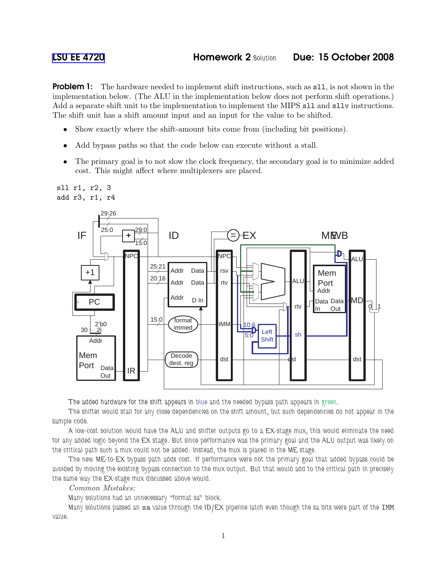**Problem 1:** The hardware needed to implement shift instructions, such as s11, is not shown in the implementation below. (The ALU in the implementation below does not perform shift operations.) Add a separate shift unit to the implementation to implement the MIPS sll and sllv instructions. The shift unit has a shift amount input and an input for the value to be shifted.

- Show exactly where the shift-amount bits come from (including bit positions).
- Add bypass paths so that the code below can execute without a stall.
- The primary goal is to not slow the clock frequency, the secondary goal is to minimize added cost. This might affect where multiplexers are placed.



The added hardware for the shift appears in blue and the needed bypass path appears in green.

The shifter would stall for any close dependencies on the shift amount, but such dependencies do not appear in the sample code.

A low-cost solution would have the ALU and shifter outputs go to a EX-stage mux, this would eliminate the need for any added logic beyond the EX stage. But since performance was the primary goal and the ALU output was likely on the critical path such a mux could not be added. Instead, the mux is placed in the ME stage.

The new ME-to-EX bypass path adds cost. If performance were not the primary goal that added bypass could be avoided by moving the existing bypass connection to the mux output. But that would add to the critical path in precisely the same way the EX-stage mux discussed above would.

## Common Mistakes:

Many solutions had an unnecessary "format sa" block.

Many solutions passed an sa value through the ID/EX pipeline latch even though the sa bits were part of the IMM value.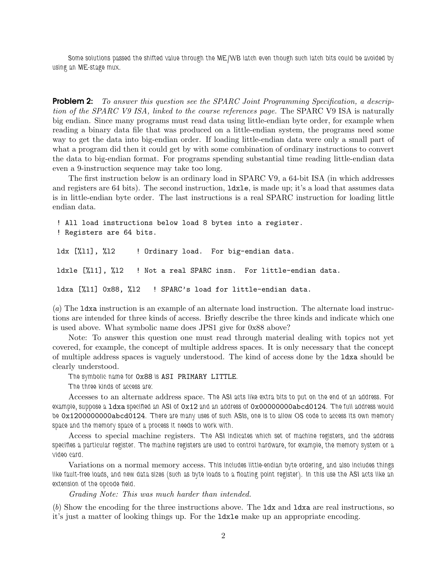Some solutions passed the shifted value through the ME/WB latch even though such latch bits could be avoided by using an ME-stage mux.

**Problem 2:** To answer this question see the SPARC Joint Programming Specification, a description of the SPARC V9 ISA, linked to the course references page. The SPARC V9 ISA is naturally big endian. Since many programs must read data using little-endian byte order, for example when reading a binary data file that was produced on a little-endian system, the programs need some way to get the data into big-endian order. If loading little-endian data were only a small part of what a program did then it could get by with some combination of ordinary instructions to convert the data to big-endian format. For programs spending substantial time reading little-endian data even a 9-instruction sequence may take too long.

The first instruction below is an ordinary load in SPARC V9, a 64-bit ISA (in which addresses and registers are 64 bits). The second instruction, ldxle, is made up; it's a load that assumes data is in little-endian byte order. The last instructions is a real SPARC instruction for loading little endian data.

! All load instructions below load 8 bytes into a register. ! Registers are 64 bits. ldx [%11], %12 ! Ordinary load. For big-endian data. ldxle [%l1], %l2 ! Not a real SPARC insn. For little-endian data. ldxa [%11] 0x88, %12 ! SPARC's load for little-endian data.

(a) The ldxa instruction is an example of an alternate load instruction. The alternate load instructions are intended for three kinds of access. Briefly describe the three kinds and indicate which one is used above. What symbolic name does JPS1 give for 0x88 above?

Note: To answer this question one must read through material dealing with topics not yet covered, for example, the concept of multiple address spaces. It is only necessary that the concept of multiple address spaces is vaguely understood. The kind of access done by the ldxa should be clearly understood.

The symbolic name for 0x88 is ASI PRIMARY LITTLE.

The three kinds of access are:

Accesses to an alternate address space. The ASI acts like extra bits to put on the end of an address. For example, suppose a ldxa specified an ASI of 0x12 and an address of 0x00000000abcd0124. The full address would be 0x1200000000abcd0124. There are many uses of such ASIs, one is to allow OS code to access its own memory space and the memory space of a process it needs to work with.

Access to special machine registers. The ASI indicates which set of machine registers, and the address specifies a particular register. The machine registers are used to control hardware, for example, the memory system or a video card.

Variations on a normal memory access. This includes little-endian byte ordering, and also includes things like fault-free loads, and new data sizes (such as byte loads to a floating point register). In this use the ASI acts like an extension of the opcode field.

Grading Note: This was much harder than intended.

(b) Show the encoding for the three instructions above. The ldx and ldxa are real instructions, so it's just a matter of looking things up. For the ldxle make up an appropriate encoding.